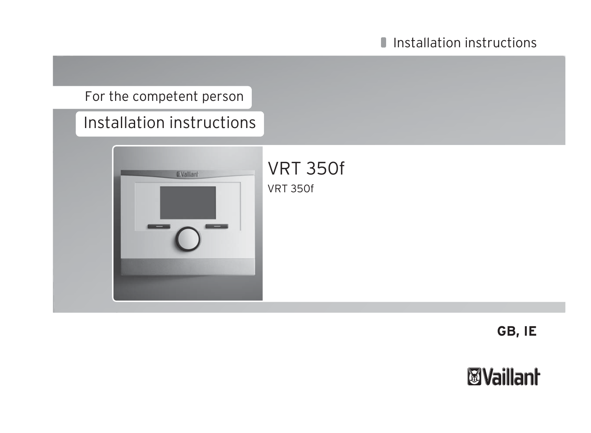## For the competent person

# Installation instructions



VRT 350f VRT 350f

**GB, IE**

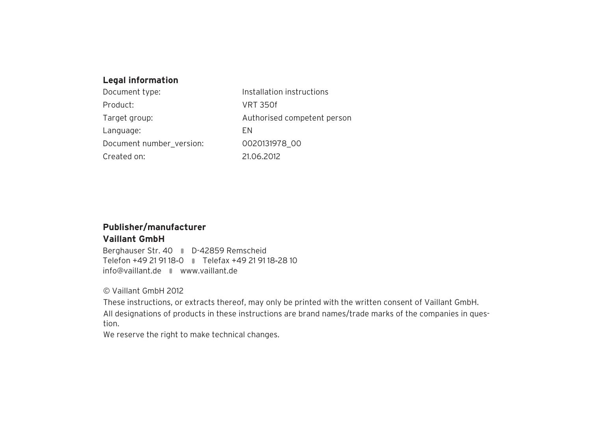### **Legal information**

| Document type:           | Installation instructions   |
|--------------------------|-----------------------------|
| Product:                 | <b>VRT 350f</b>             |
| Target group:            | Authorised competent person |
| Language:                | FN.                         |
| Document number version: | 0020131978 00               |
| Created on:              | 21.06.2012                  |

### **Publisher/manufacturer**

### **Vaillant GmbH**

Berghauser Str. 40 **D-42859 Remscheid** Telefon +49 21 91 18‑0 Telefax +49 21 91 18‑28 10 info@vaillant.de www.vaillant.de

© Vaillant GmbH 2012

These instructions, or extracts thereof, may only be printed with the written consent of Vaillant GmbH. All designations of products in these instructions are brand names/trade marks of the companies in question.

We reserve the right to make technical changes.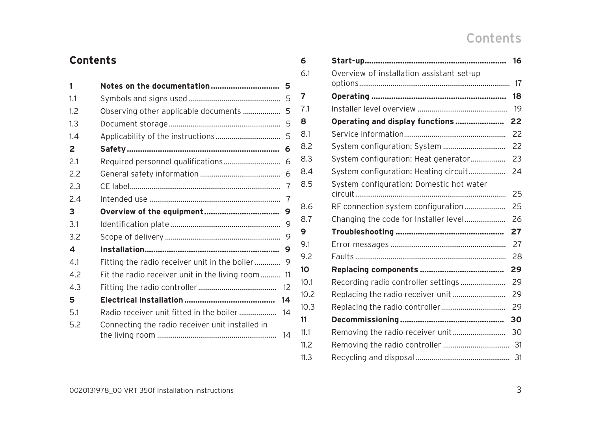## Contents

| 1              |                                                       |
|----------------|-------------------------------------------------------|
| 1.1            |                                                       |
| 1.2            | Observing other applicable documents<br>5             |
| 1.3            |                                                       |
| 14             |                                                       |
| $\overline{2}$ |                                                       |
| 2.1            | Required personnel qualifications 6                   |
| 2.2            |                                                       |
| 2.3            |                                                       |
| 7.4            |                                                       |
| 3              |                                                       |
| 3.1            |                                                       |
| 3.2            |                                                       |
| 4              |                                                       |
| 4.1            | Fitting the radio receiver unit in the boiler 9       |
| 4.2            | Fit the radio receiver unit in the living room 11     |
| 4.3            |                                                       |
| 5              | 14                                                    |
| 5.1            |                                                       |
| 5.2            | Connecting the radio receiver unit installed in<br>14 |

**Contents**

| 6    |                                           |    |
|------|-------------------------------------------|----|
| 6.1  | Overview of installation assistant set-up |    |
|      |                                           | 17 |
| 7    |                                           | 18 |
| 7.1  |                                           | 19 |
| 8    | Operating and display functions 22        |    |
| 8.1  |                                           | 22 |
| 8.2  | System configuration: System              | 22 |
| 8.3  | System configuration: Heat generator      | 23 |
| 8.4  | System configuration: Heating circuit     | 24 |
| 8.5  | System configuration: Domestic hot water  | 25 |
| 8.6  |                                           | 25 |
| 8.7  |                                           | 26 |
| 9    |                                           | 27 |
| 9.1  |                                           | 27 |
| 9.2  |                                           | 28 |
| 10   |                                           | 29 |
| 10.1 |                                           | 29 |
| 10.2 |                                           | 29 |
| 10.3 |                                           | 29 |
| 11   |                                           |    |
|      |                                           |    |
| 11.1 |                                           |    |
| 11.2 |                                           |    |
| 11.3 |                                           |    |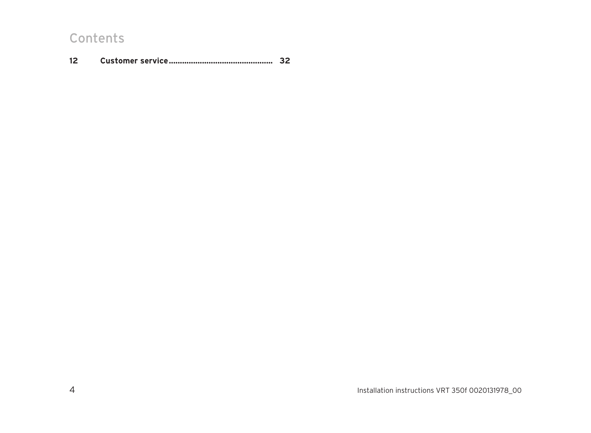## Contents

|  | 32 |
|--|----|
|--|----|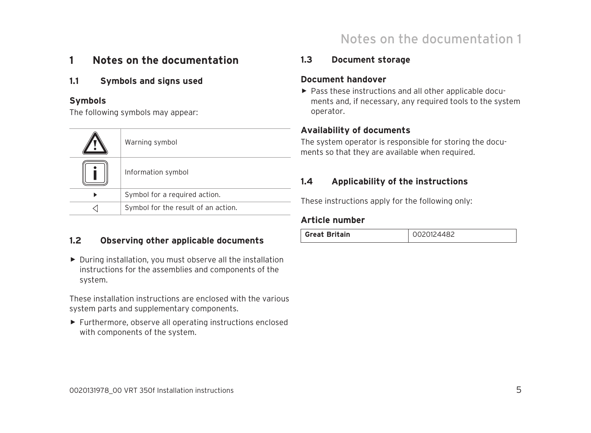## Notes on the documentation 1

## **1 Notes on the documentation**

### **1.1 Symbols and signs used**

### **Symbols**

The following symbols may appear:

| Warning symbol                      |
|-------------------------------------|
| Information symbol                  |
| Symbol for a required action.       |
| Symbol for the result of an action. |

### **1.2 Observing other applicable documents**

▶ During installation, you must observe all the installation instructions for the assemblies and components of the system.

These installation instructions are enclosed with the various system parts and supplementary components.

▶ Furthermore, observe all operating instructions enclosed with components of the system.

### **1.3 Document storage**

### **Document handover**

▶ Pass these instructions and all other applicable documents and, if necessary, any required tools to the system operator.

### **Availability of documents**

The system operator is responsible for storing the documents so that they are available when required.

### **1.4 Applicability of the instructions**

These instructions apply for the following only:

### **Article number**

| <b>Great Britain</b> |  |
|----------------------|--|
|----------------------|--|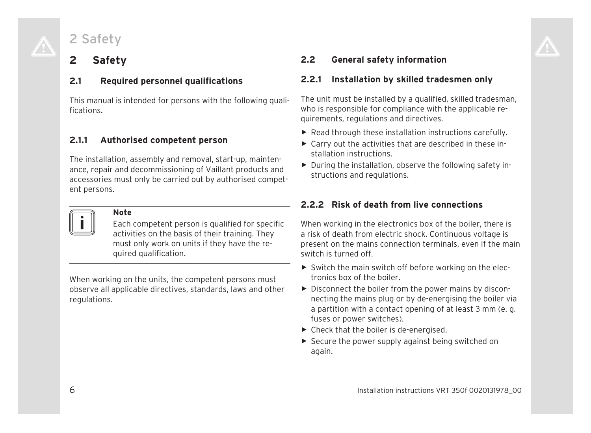## 2 Safety

## **2 Safety**

### **2.1 Required personnel qualifications**

This manual is intended for persons with the following qualifications.

### **2.1.1 Authorised competent person**

The installation, assembly and removal, start-up, maintenance, repair and decommissioning of Vaillant products and accessories must only be carried out by authorised competent persons.



### **Note**

Each competent person is qualified for specific activities on the basis of their training. They must only work on units if they have the required qualification.

When working on the units, the competent persons must observe all applicable directives, standards, laws and other regulations.

### **2.2 General safety information**

### **2.2.1 Installation by skilled tradesmen only**

The unit must be installed by a qualified, skilled tradesman, who is responsible for compliance with the applicable requirements, regulations and directives.

- ▶ Read through these installation instructions carefully.
- $\triangleright$  Carry out the activities that are described in these installation instructions.
- ▶ During the installation, observe the following safety instructions and regulations.

### **2.2.2 Risk of death from live connections**

When working in the electronics box of the boiler, there is a risk of death from electric shock. Continuous voltage is present on the mains connection terminals, even if the main switch is turned off.

- ▶ Switch the main switch off before working on the electronics box of the boiler.
- ▶ Disconnect the boiler from the power mains by disconnecting the mains plug or by de-energising the boiler via a partition with a contact opening of at least 3 mm (e. g. fuses or power switches).
- $\blacktriangleright$  Check that the boiler is de-energised.
- $\triangleright$  Secure the power supply against being switched on again.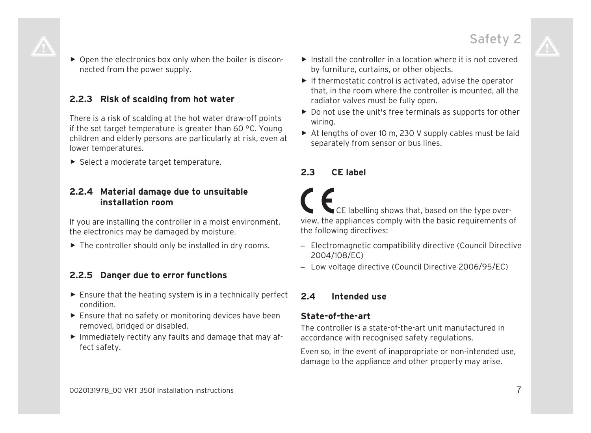▶ Open the electronics box only when the boiler is disconnected from the power supply.

### **2.2.3 Risk of scalding from hot water**

There is a risk of scalding at the hot water draw-off points if the set target temperature is greater than 60 °C. Young children and elderly persons are particularly at risk, even at lower temperatures.

▶ Select a moderate target temperature.

### **2.2.4 Material damage due to unsuitable installation room**

If you are installing the controller in a moist environment, the electronics may be damaged by moisture.

 $\blacktriangleright$  The controller should only be installed in dry rooms.

### **2.2.5 Danger due to error functions**

- $\blacktriangleright$  Ensure that the heating system is in a technically perfect condition.
- ▶ Ensure that no safety or monitoring devices have been removed, bridged or disabled.
- ▶ Immediately rectify any faults and damage that may affect safety.
- $\blacktriangleright$  Install the controller in a location where it is not covered by furniture, curtains, or other objects.
- $\blacktriangleright$  If thermostatic control is activated, advise the operator that, in the room where the controller is mounted, all the radiator valves must be fully open.
- ▶ Do not use the unit's free terminals as supports for other wiring.
- $\triangleright$  At lengths of over 10 m, 230 V supply cables must be laid separately from sensor or bus lines.

### **2.3 CE label**

CE labelling shows that, based on the type overview, the appliances comply with the basic requirements of the following directives:

- Electromagnetic compatibility directive (Council Directive 2004/108/EC)
- Low voltage directive (Council Directive 2006/95/EC)

### **2.4 Intended use**

### **State-of-the-art**

The controller is a state-of-the-art unit manufactured in accordance with recognised safety regulations.

Even so, in the event of inappropriate or non-intended use, damage to the appliance and other property may arise.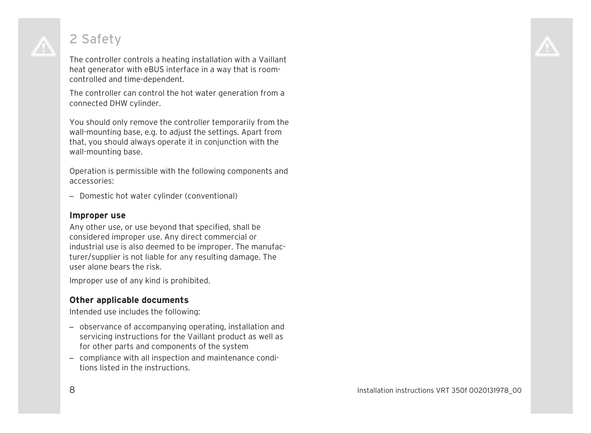## 2 Safety

The controller controls a heating installation with a Vaillant heat generator with eBUS interface in a way that is roomcontrolled and time-dependent.

The controller can control the hot water generation from a connected DHW cylinder.

You should only remove the controller temporarily from the wall-mounting base, e.g. to adjust the settings. Apart from that, you should always operate it in conjunction with the wall-mounting base.

Operation is permissible with the following components and accessories:

– Domestic hot water cylinder (conventional)

### **Improper use**

Any other use, or use beyond that specified, shall be considered improper use. Any direct commercial or industrial use is also deemed to be improper. The manufacturer/supplier is not liable for any resulting damage. The user alone bears the risk.

Improper use of any kind is prohibited.

### **Other applicable documents**

Intended use includes the following:

- observance of accompanying operating, installation and servicing instructions for the Vaillant product as well as for other parts and components of the system
- compliance with all inspection and maintenance conditions listed in the instructions.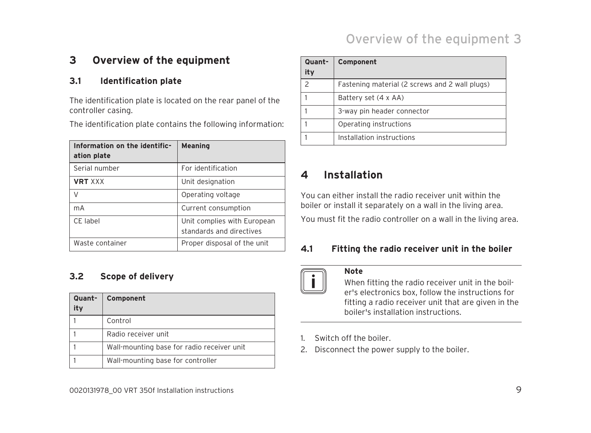## Overview of the equipment 3

## **3 Overview of the equipment**

### **3.1 Identification plate**

The identification plate is located on the rear panel of the controller casing.

The identification plate contains the following information:

| Information on the identific-<br>ation plate | <b>Meaning</b>                                          |
|----------------------------------------------|---------------------------------------------------------|
| Serial number                                | For identification                                      |
| <b>VRT XXX</b>                               | Unit designation                                        |
| V                                            | Operating voltage                                       |
| mA                                           | Current consumption                                     |
| CE label                                     | Unit complies with European<br>standards and directives |
| Waste container                              | Proper disposal of the unit                             |

### **3.2 Scope of delivery**

| Quant-<br>ity | Component                                  |
|---------------|--------------------------------------------|
|               | Control                                    |
|               | Radio receiver unit                        |
|               | Wall-mounting base for radio receiver unit |
|               | Wall-mounting base for controller          |

| Quant-<br>ity | Component                                      |
|---------------|------------------------------------------------|
|               | Fastening material (2 screws and 2 wall plugs) |
|               | Battery set (4 x AA)                           |
|               | 3-way pin header connector                     |
|               | Operating instructions                         |
|               | Installation instructions                      |

## **4 Installation**

You can either install the radio receiver unit within the boiler or install it separately on a wall in the living area. You must fit the radio controller on a wall in the living area.

### **4.1 Fitting the radio receiver unit in the boiler**

### **Note**

When fitting the radio receiver unit in the boiler's electronics box, follow the instructions for fitting a radio receiver unit that are given in the boiler's installation instructions.

- Switch off the boiler
- 2. Disconnect the power supply to the boiler.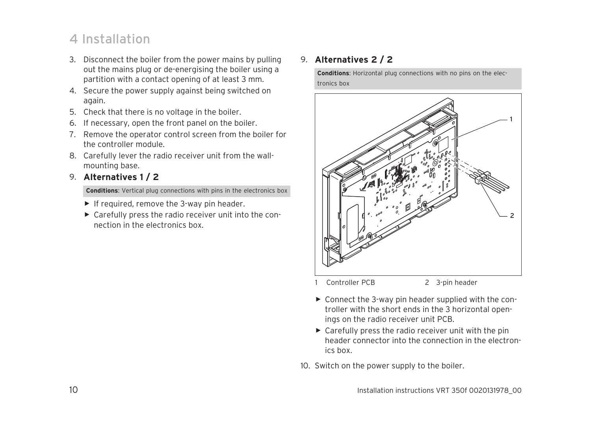## 4 Installation

- 3. Disconnect the boiler from the power mains by pulling out the mains plug or de-energising the boiler using a partition with a contact opening of at least 3 mm.
- 4. Secure the power supply against being switched on again.
- 5. Check that there is no voltage in the boiler.
- 6. If necessary, open the front panel on the boiler.
- 7. Remove the operator control screen from the boiler for the controller module.
- 8. Carefully lever the radio receiver unit from the wallmounting base.
- 9. **Alternatives 1 / 2**

**Conditions**: Vertical plug connections with pins in the electronics box

- $\blacktriangleright$  If required, remove the 3-way pin header.
- ▶ Carefully press the radio receiver unit into the connection in the electronics box.

### 9. **Alternatives 2 / 2**

**Conditions**: Horizontal plug connections with no pins on the electronics box



1 Controller PCB 2 3-pin header

- ▶ Connect the 3-way pin header supplied with the controller with the short ends in the 3 horizontal openings on the radio receiver unit PCB.
- $\triangleright$  Carefully press the radio receiver unit with the pin header connector into the connection in the electronics box.
- 10. Switch on the power supply to the boiler.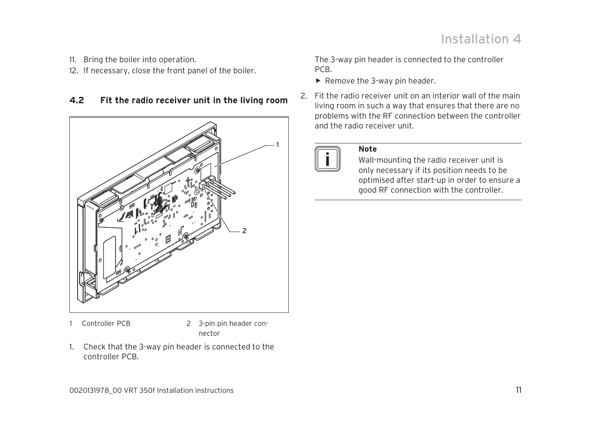- 11. Bring the boiler into operation.
- 12. If necessary, close the front panel of the boiler.

### **4.2 Fit the radio receiver unit in the living room**



1. Check that the 3-way pin header is connected to the controller PCB.

The 3-way pin header is connected to the controller PCB.

- $\blacktriangleright$  Remove the 3-way pin header.
- 2. Fit the radio receiver unit on an interior wall of the main living room in such a way that ensures that there are no problems with the RF connection between the controller and the radio receiver unit.



### **Note**

Wall-mounting the radio receiver unit is only necessary if its position needs to be optimised after start-up in order to ensure a good RF connection with the controller.

<sup>1</sup> Controller PCB 2 3-pin pin header connector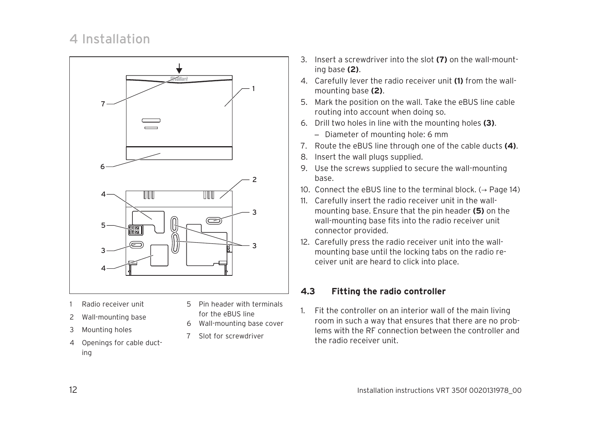## 4 Installation



- Radio receiver unit
- 2 Wall-mounting base
- 3 Mounting holes
- 4 Openings for cable ducting
- 5 Pin header with terminals
	- for the eBUS line
- 6 Wall-mounting base cover
- 7 Slot for screwdriver
- 3. Insert a screwdriver into the slot **(7)** on the wall-mounting base **(2)**.
- 4. Carefully lever the radio receiver unit **(1)** from the wallmounting base **(2)**.
- 5. Mark the position on the wall. Take the eBUS line cable routing into account when doing so.
- 6. Drill two holes in line with the mounting holes **(3)**.
	- Diameter of mounting hole: 6 mm
- 7. Route the eBUS line through one of the cable ducts **(4)**.
- 8. Insert the wall plugs supplied.
- 9. Use the screws supplied to secure the wall-mounting base.
- 10. Connect the eBUS line to the terminal block.  $(\rightarrow$  Page 14)
- 11. Carefully insert the radio receiver unit in the wallmounting base. Ensure that the pin header **(5)** on the wall-mounting base fits into the radio receiver unit connector provided.
- 12. Carefully press the radio receiver unit into the wallmounting base until the locking tabs on the radio receiver unit are heard to click into place.

### **4.3 Fitting the radio controller**

1. Fit the controller on an interior wall of the main living room in such a way that ensures that there are no problems with the RF connection between the controller and the radio receiver unit.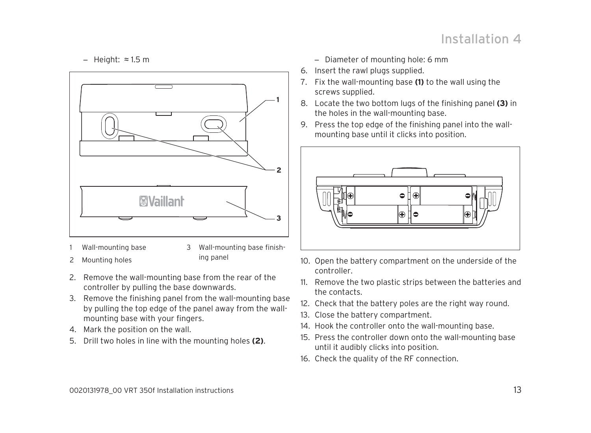## Installation  $\boldsymbol{\varLambda}$

– Height: ≈ 1.5 m



Wall-mounting base

3 Wall-mounting base finish-

- 2 Mounting holes
- ing panel
- 2. Remove the wall-mounting base from the rear of the controller by pulling the base downwards.
- 3. Remove the finishing panel from the wall-mounting base by pulling the top edge of the panel away from the wallmounting base with your fingers.
- 4. Mark the position on the wall.
- 5. Drill two holes in line with the mounting holes **(2)**.
- Diameter of mounting hole: 6 mm
- 6. Insert the rawl plugs supplied.
- 7. Fix the wall-mounting base **(1)** to the wall using the screws supplied.
- 8. Locate the two bottom lugs of the finishing panel **(3)** in the holes in the wall-mounting base.
- 9. Press the top edge of the finishing panel into the wallmounting base until it clicks into position.



- 10. Open the battery compartment on the underside of the controller.
- 11. Remove the two plastic strips between the batteries and the contacts.
- 12. Check that the battery poles are the right way round.
- 13. Close the battery compartment.
- 14. Hook the controller onto the wall-mounting base.
- 15. Press the controller down onto the wall-mounting base until it audibly clicks into position.
- 16. Check the quality of the RF connection.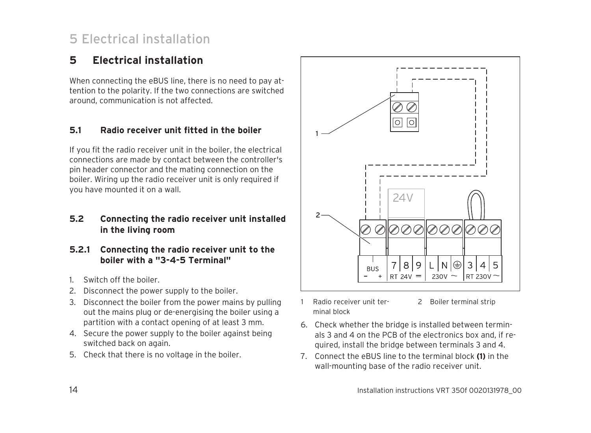## 5 Electrical installation

## **5 Electrical installation**

When connecting the eBUS line, there is no need to pay attention to the polarity. If the two connections are switched around, communication is not affected.

### **5.1 Radio receiver unit fitted in the boiler**

If you fit the radio receiver unit in the boiler, the electrical connections are made by contact between the controller's pin header connector and the mating connection on the boiler. Wiring up the radio receiver unit is only required if you have mounted it on a wall.

### **5.2 Connecting the radio receiver unit installed in the living room**

- **5.2.1 Connecting the radio receiver unit to the boiler with a "3-4-5 Terminal"**
- 1. Switch off the boiler.
- 2. Disconnect the power supply to the boiler.
- 3. Disconnect the boiler from the power mains by pulling out the mains plug or de-energising the boiler using a partition with a contact opening of at least 3 mm.
- 4. Secure the power supply to the boiler against being switched back on again.
- 5. Check that there is no voltage in the boiler.



- Radio receiver unit terminal block 2 Boiler terminal strip
- 6. Check whether the bridge is installed between terminals 3 and 4 on the PCB of the electronics box and, if required, install the bridge between terminals 3 and 4.
- 7. Connect the eBUS line to the terminal block **(1)** in the wall-mounting base of the radio receiver unit.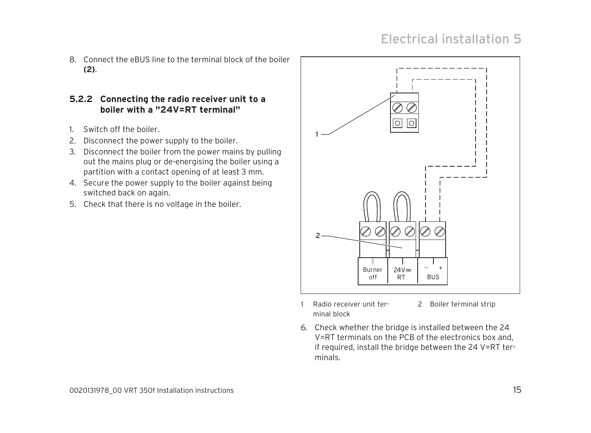## Electrical installation 5

8. Connect the eBUS line to the terminal block of the boiler **(2)**.

### **5.2.2 Connecting the radio receiver unit to a boiler with a "24V=RT terminal"**

- 1. Switch off the boiler.
- 2. Disconnect the power supply to the boiler.
- 3. Disconnect the boiler from the power mains by pulling out the mains plug or de-energising the boiler using a partition with a contact opening of at least 3 mm.
- 4. Secure the power supply to the boiler against being switched back on again.
- 5. Check that there is no voltage in the boiler.



- 1 Radio receiver unit terminal block
- 2 Boiler terminal strip
- 6. Check whether the bridge is installed between the 24 V=RT terminals on the PCB of the electronics box and, if required, install the bridge between the 24 V=RT terminals.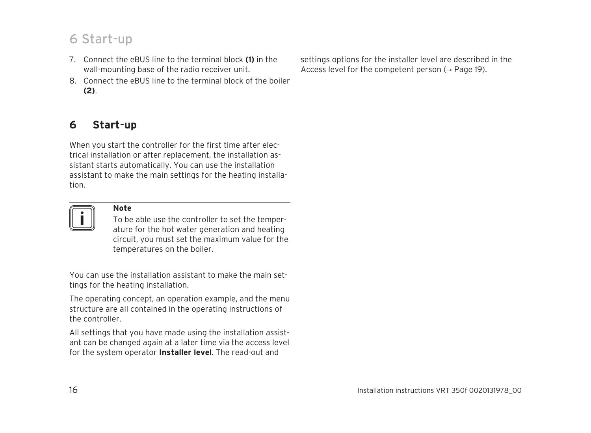## 6 Start-up

- 7. Connect the eBUS line to the terminal block **(1)** in the wall-mounting base of the radio receiver unit.
- 8. Connect the eBUS line to the terminal block of the boiler **(2)**.

## **6 Start-up**

When you start the controller for the first time after electrical installation or after replacement, the installation assistant starts automatically. You can use the installation assistant to make the main settings for the heating installation.



### **Note**

To be able use the controller to set the temperature for the hot water generation and heating circuit, you must set the maximum value for the temperatures on the boiler.

You can use the installation assistant to make the main settings for the heating installation.

The operating concept, an operation example, and the menu structure are all contained in the operating instructions of the controller.

All settings that you have made using the installation assistant can be changed again at a later time via the access level for the system operator **Installer level**. The read-out and

settings options for the installer level are described in the Access level for the competent person  $(\rightarrow$  Page 19).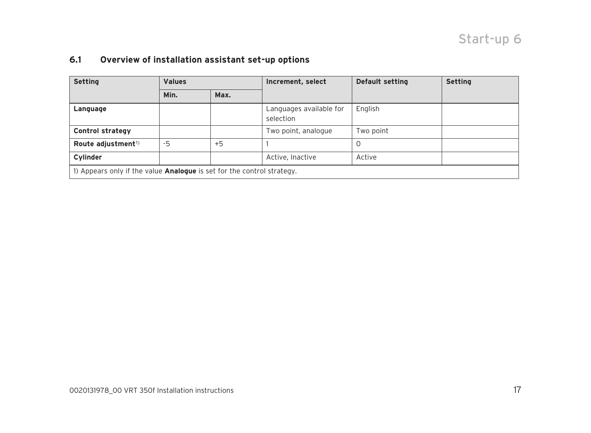## Start-up 6

### **6.1 Overview of installation assistant set-up options**

| <b>Setting</b>                                                                | <b>Values</b> |      | Increment, select                    | <b>Default setting</b> | <b>Setting</b> |  |
|-------------------------------------------------------------------------------|---------------|------|--------------------------------------|------------------------|----------------|--|
|                                                                               | Min.          | Max. |                                      |                        |                |  |
| Language                                                                      |               |      | Languages available for<br>selection | English                |                |  |
| <b>Control strategy</b>                                                       |               |      | Two point, analogue                  | Two point              |                |  |
| Route adjustment <sup>1)</sup>                                                | $-5$          | $+5$ |                                      | 0                      |                |  |
| Cylinder                                                                      |               |      | Active, Inactive                     | Active                 |                |  |
| 1) Appears only if the value <b>Analogue</b> is set for the control strategy. |               |      |                                      |                        |                |  |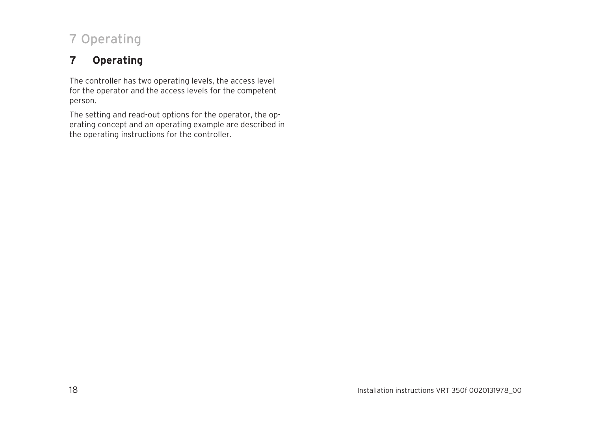## 7 Operating

## **7 Operating**

The controller has two operating levels, the access level for the operator and the access levels for the competent person.

The setting and read-out options for the operator, the operating concept and an operating example are described in the operating instructions for the controller.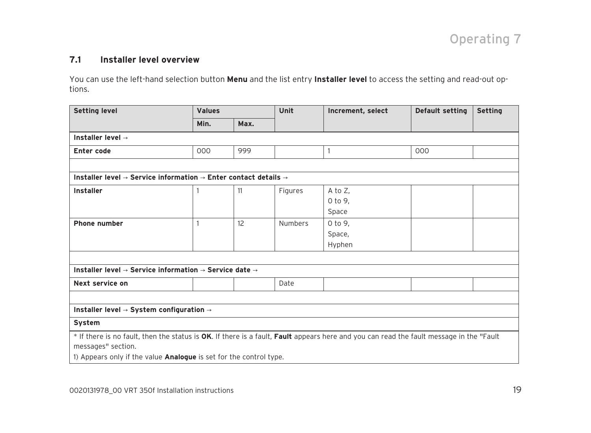### **7.1 Installer level overview**

You can use the left-hand selection button **Menu** and the list entry **Installer level** to access the setting and read-out options.

| <b>Setting level</b>                                                                                                                                                                                                                       | <b>Values</b> |      | Unit           | Increment, select              | <b>Default setting</b> | <b>Setting</b> |
|--------------------------------------------------------------------------------------------------------------------------------------------------------------------------------------------------------------------------------------------|---------------|------|----------------|--------------------------------|------------------------|----------------|
|                                                                                                                                                                                                                                            | Min.          | Max. |                |                                |                        |                |
| Installer level $\rightarrow$                                                                                                                                                                                                              |               |      |                |                                |                        |                |
| Enter code                                                                                                                                                                                                                                 | 000           | 999  |                |                                | 000                    |                |
|                                                                                                                                                                                                                                            |               |      |                |                                |                        |                |
| Installer level $\rightarrow$ Service information $\rightarrow$ Enter contact details $\rightarrow$                                                                                                                                        |               |      |                |                                |                        |                |
| Installer                                                                                                                                                                                                                                  |               | 11   | Figures        | A to $Z$ ,<br>0 to 9,<br>Space |                        |                |
| <b>Phone number</b>                                                                                                                                                                                                                        |               | 12   | <b>Numbers</b> | 0 to 9,<br>Space,<br>Hyphen    |                        |                |
| Installer level $\rightarrow$ Service information $\rightarrow$ Service date $\rightarrow$<br>Next service on                                                                                                                              |               |      | Date           |                                |                        |                |
|                                                                                                                                                                                                                                            |               |      |                |                                |                        |                |
| Installer level $\rightarrow$ System configuration $\rightarrow$                                                                                                                                                                           |               |      |                |                                |                        |                |
| System                                                                                                                                                                                                                                     |               |      |                |                                |                        |                |
| * If there is no fault, then the status is OK. If there is a fault, Fault appears here and you can read the fault message in the "Fault<br>messages" section.<br>1) Appears only if the value <b>Analogue</b> is set for the control type. |               |      |                |                                |                        |                |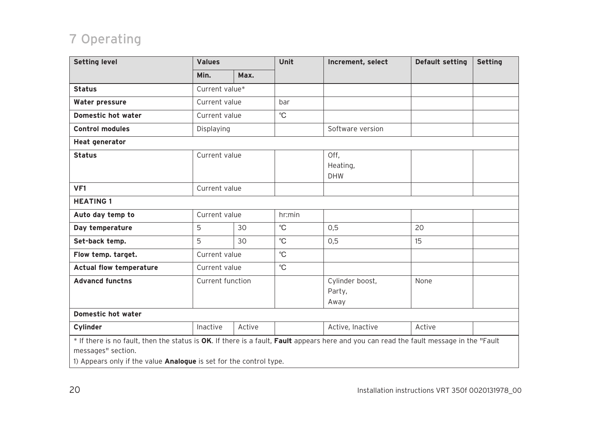## 7 Operating

| <b>Setting level</b>                                                                                                                                                                                                                       | <b>Values</b>    |        | Unit        | Increment, select                 | Default setting | <b>Setting</b> |
|--------------------------------------------------------------------------------------------------------------------------------------------------------------------------------------------------------------------------------------------|------------------|--------|-------------|-----------------------------------|-----------------|----------------|
|                                                                                                                                                                                                                                            | Min.             | Max.   |             |                                   |                 |                |
| <b>Status</b>                                                                                                                                                                                                                              | Current value*   |        |             |                                   |                 |                |
| Water pressure                                                                                                                                                                                                                             | Current value    |        | bar         |                                   |                 |                |
| Domestic hot water                                                                                                                                                                                                                         | Current value    |        | $^{\circ}C$ |                                   |                 |                |
| <b>Control modules</b>                                                                                                                                                                                                                     | Displaying       |        |             | Software version                  |                 |                |
| <b>Heat generator</b>                                                                                                                                                                                                                      |                  |        |             |                                   |                 |                |
| <b>Status</b>                                                                                                                                                                                                                              | Current value    |        |             | Off.<br>Heating,<br><b>DHW</b>    |                 |                |
| VF <sub>1</sub>                                                                                                                                                                                                                            | Current value    |        |             |                                   |                 |                |
| <b>HEATING 1</b>                                                                                                                                                                                                                           |                  |        |             |                                   |                 |                |
| Auto day temp to                                                                                                                                                                                                                           | Current value    |        | hr: min     |                                   |                 |                |
| Day temperature                                                                                                                                                                                                                            | 5                | 30     | $^{\circ}C$ | 0,5                               | 20              |                |
| Set-back temp.                                                                                                                                                                                                                             | 5                | 30     | $^{\circ}C$ | 0,5                               | 15              |                |
| Flow temp. target.                                                                                                                                                                                                                         | Current value    |        | $^{\circ}C$ |                                   |                 |                |
| <b>Actual flow temperature</b>                                                                                                                                                                                                             | Current value    |        | $^{\circ}C$ |                                   |                 |                |
| <b>Advancd functns</b>                                                                                                                                                                                                                     | Current function |        |             | Cylinder boost,<br>Party,<br>Away | None            |                |
| Domestic hot water                                                                                                                                                                                                                         |                  |        |             |                                   |                 |                |
| Cylinder                                                                                                                                                                                                                                   | Inactive         | Active |             | Active, Inactive                  | Active          |                |
| * If there is no fault, then the status is OK. If there is a fault, Fault appears here and you can read the fault message in the "Fault<br>messages" section.<br>1) Appears only if the value <b>Analogue</b> is set for the control type. |                  |        |             |                                   |                 |                |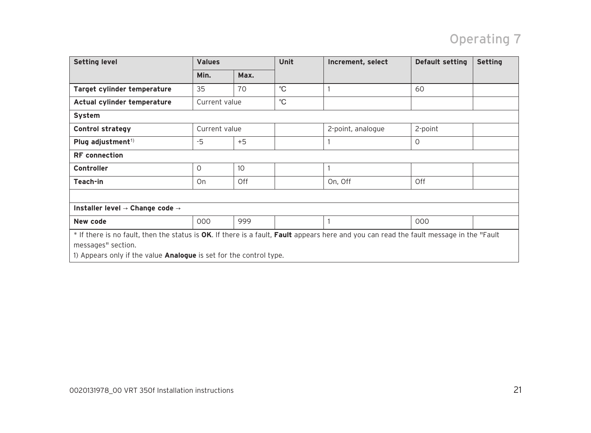## Operating 7

| <b>Setting level</b>                                                                                                                                                                                                                       | <b>Values</b> |      | Unit        | Increment, select | Default setting | <b>Setting</b> |  |
|--------------------------------------------------------------------------------------------------------------------------------------------------------------------------------------------------------------------------------------------|---------------|------|-------------|-------------------|-----------------|----------------|--|
|                                                                                                                                                                                                                                            | Min.          | Max. |             |                   |                 |                |  |
| Target cylinder temperature                                                                                                                                                                                                                | 35            | 70   | $^{\circ}C$ |                   | 60              |                |  |
| Actual cylinder temperature                                                                                                                                                                                                                | Current value |      | $^{\circ}C$ |                   |                 |                |  |
| System                                                                                                                                                                                                                                     |               |      |             |                   |                 |                |  |
| <b>Control strategy</b>                                                                                                                                                                                                                    | Current value |      |             | 2-point, analogue | 2-point         |                |  |
| Plug adjustment <sup>1)</sup>                                                                                                                                                                                                              | -5            | $+5$ |             |                   | $\Omega$        |                |  |
| <b>RF</b> connection                                                                                                                                                                                                                       |               |      |             |                   |                 |                |  |
| <b>Controller</b>                                                                                                                                                                                                                          | O             | 10   |             |                   |                 |                |  |
| Teach-in                                                                                                                                                                                                                                   | On            | Off  |             | On, Off           | Off             |                |  |
|                                                                                                                                                                                                                                            |               |      |             |                   |                 |                |  |
| Installer level $\rightarrow$ Change code $\rightarrow$                                                                                                                                                                                    |               |      |             |                   |                 |                |  |
| New code                                                                                                                                                                                                                                   | 000           | 999  |             |                   | 000             |                |  |
| * If there is no fault, then the status is OK. If there is a fault, Fault appears here and you can read the fault message in the "Fault<br>messages" section.<br>1) Appears only if the value <b>Analogue</b> is set for the control type. |               |      |             |                   |                 |                |  |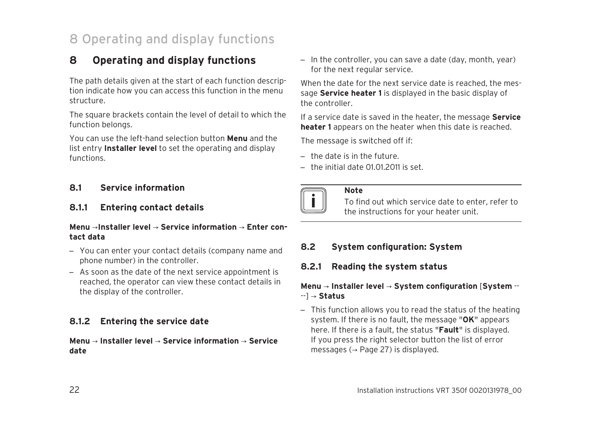## 8 Operating and display functions

## **8 Operating and display functions**

The path details given at the start of each function description indicate how you can access this function in the menu structure.

The square brackets contain the level of detail to which the function belongs.

You can use the left-hand selection button **Menu** and the list entry **Installer level** to set the operating and display functions.

### **8.1 Service information**

### **8.1.1 Entering contact details**

### **Menu** →**Installer level** → **Service information** → **Enter contact data**

- You can enter your contact details (company name and phone number) in the controller.
- As soon as the date of the next service appointment is reached, the operator can view these contact details in the display of the controller.

### **8.1.2 Entering the service date**

### **Menu** → **Installer level** → **Service information** → **Service date**

– In the controller, you can save a date (day, month, year) for the next regular service.

When the date for the next service date is reached, the message **Service heater 1** is displayed in the basic display of the controller.

If a service date is saved in the heater, the message **Service heater 1** appears on the heater when this date is reached.

The message is switched off if:

- $-$  the date is in the future.
- the initial date 01.01.2011 is set.



### **Note**

To find out which service date to enter, refer to the instructions for your heater unit.

### **8.2 System configuration: System**

### **8.2.1 Reading the system status**

### **Menu** → **Installer level** → **System configuration** [**System** -- --] → **Status**

– This function allows you to read the status of the heating system. If there is no fault, the message "**OK**" appears here. If there is a fault, the status "**Fault**" is displayed. If you press the right selector button the list of error messages ( $\rightarrow$  Page 27) is displayed.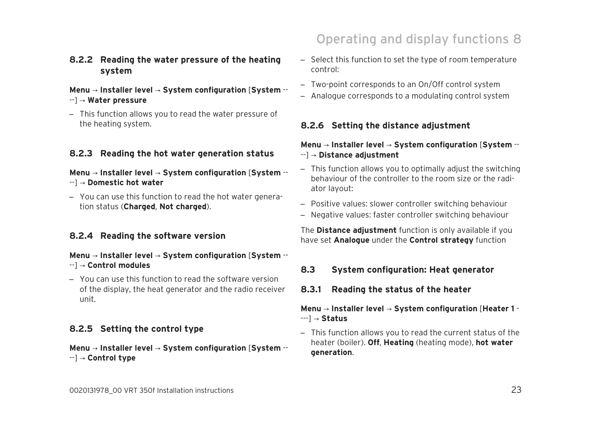# **8.2.5 Setting the control type**

**Menu** → **Installer level** → **System configuration** [**System** -- --] → **Control type**

### **8.2.4 Reading the software version**

# tion status (**Charged**, **Not charged**).

### **Menu** → **Installer level** → **System configuration** [**System** -- --] → **Control modules**

– You can use this function to read the software version of the display, the heat generator and the radio receiver unit.

### – This function allows you to read the water pressure of the heating system.

**8.2.2 Reading the water pressure of the heating**

**Menu** → **Installer level** → **System configuration** [**System** --

# **8.2.3 Reading the hot water generation status**

# **Menu** → **Installer level** → **System configuration** [**System** --

**system**

--] → **Water pressure**

- 
- --] → **Domestic hot water**
- 
- 
- You can use this function to read the hot water genera-
- Operating and display functions 8
- Select this function to set the type of room temperature control:
- Two-point corresponds to an On/Off control system
- Analogue corresponds to a modulating control system

### **8.2.6 Setting the distance adjustment**

### **Menu** → **Installer level** → **System configuration** [**System** -- --] → **Distance adjustment**

- This function allows you to optimally adjust the switching behaviour of the controller to the room size or the radiator layout:
- Positive values: slower controller switching behaviour
- Negative values: faster controller switching behaviour

The **Distance adjustment** function is only available if you have set **Analogue** under the **Control strategy** function

### **8.3 System configuration: Heat generator**

**8.3.1 Reading the status of the heater**

### **Menu** → **Installer level** → **System configuration** [**Heater 1** - ---] → **Status**

– This function allows you to read the current status of the heater (boiler). **Off**, **Heating** (heating mode), **hot water generation**.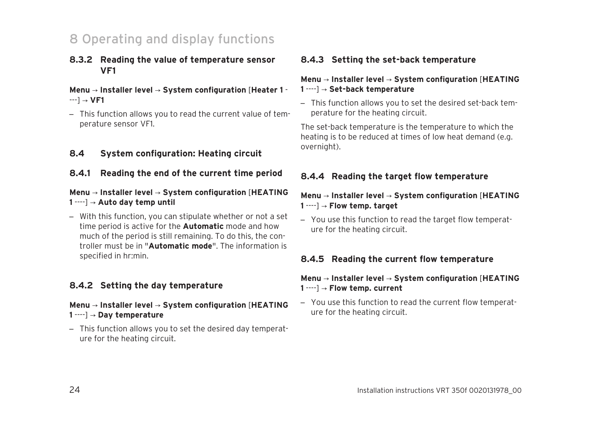## 8 Operating and display functions

### **8.3.2 Reading the value of temperature sensor VF1**

### **Menu** → **Installer level** → **System configuration** [**Heater 1** - ---] → **VF1**

– This function allows you to read the current value of temperature sensor VF1.

### **8.4 System configuration: Heating circuit**

### **8.4.1 Reading the end of the current time period**

### **Menu** → **Installer level** → **System configuration** [**HEATING 1** ----] → **Auto day temp until**

– With this function, you can stipulate whether or not a set time period is active for the **Automatic** mode and how much of the period is still remaining. To do this, the controller must be in "**Automatic mode**". The information is specified in hr:min.

### **8.4.2 Setting the day temperature**

### **Menu** → **Installer level** → **System configuration** [**HEATING 1** ----] → **Day temperature**

– This function allows you to set the desired day temperature for the heating circuit.

### **8.4.3 Setting the set-back temperature**

### **Menu** → **Installer level** → **System configuration** [**HEATING 1** ----] → **Set-back temperature**

– This function allows you to set the desired set-back temperature for the heating circuit.

The set-back temperature is the temperature to which the heating is to be reduced at times of low heat demand (e.g. overnight).

### **8.4.4 Reading the target flow temperature**

### **Menu** → **Installer level** → **System configuration** [**HEATING 1** ----] → **Flow temp. target**

– You use this function to read the target flow temperature for the heating circuit.

### **8.4.5 Reading the current flow temperature**

### **Menu** → **Installer level** → **System configuration** [**HEATING 1** ----] → **Flow temp. current**

– You use this function to read the current flow temperature for the heating circuit.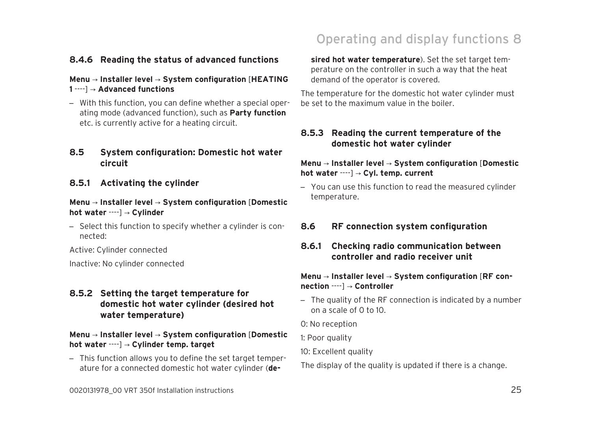### **8.4.6 Reading the status of advanced functions**

### **Menu** → **Installer level** → **System configuration** [**HEATING 1** ----] → **Advanced functions**

– With this function, you can define whether a special operating mode (advanced function), such as **Party function** etc. is currently active for a heating circuit.

### **8.5 System configuration: Domestic hot water circuit**

### **8.5.1 Activating the cylinder**

### **Menu** → **Installer level** → **System configuration** [**Domestic hot water** ----] → **Cylinder**

– Select this function to specify whether a cylinder is connected:

Active: Cylinder connected

Inactive: No cylinder connected

### **8.5.2 Setting the target temperature for domestic hot water cylinder (desired hot water temperature)**

### **Menu** → **Installer level** → **System configuration** [**Domestic hot water** ----] → **Cylinder temp. target**

– This function allows you to define the set target temperature for a connected domestic hot water cylinder (**de-**

## Operating and display functions 8

**sired hot water temperature**). Set the set target temperature on the controller in such a way that the heat demand of the operator is covered.

The temperature for the domestic hot water cylinder must be set to the maximum value in the boiler.

### **8.5.3 Reading the current temperature of the domestic hot water cylinder**

### **Menu** → **Installer level** → **System configuration** [**Domestic hot water** ----] → **Cyl. temp. current**

– You can use this function to read the measured cylinder temperature.

### **8.6 RF connection system configuration**

**8.6.1 Checking radio communication between controller and radio receiver unit**

### **Menu** → **Installer level** → **System configuration** [**RF connection** ----] → **Controller**

- The quality of the RF connection is indicated by a number on a scale of 0 to 10.
- 0: No reception
- 1: Poor quality
- 10: Excellent quality

The display of the quality is updated if there is a change.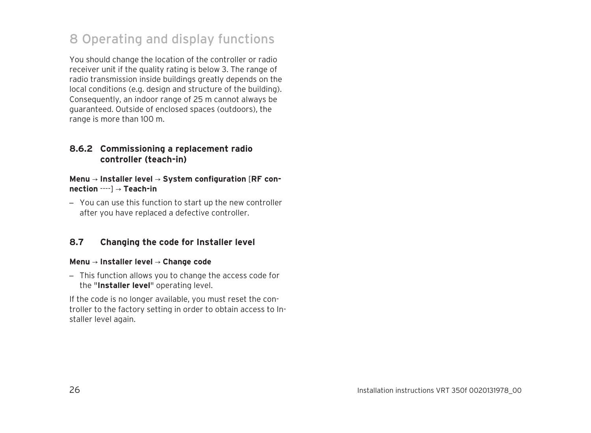## 8 Operating and display functions

You should change the location of the controller or radio receiver unit if the quality rating is below 3. The range of radio transmission inside buildings greatly depends on the local conditions (e.g. design and structure of the building). Consequently, an indoor range of 25 m cannot always be guaranteed. Outside of enclosed spaces (outdoors), the range is more than 100 m.

### **8.6.2 Commissioning a replacement radio controller (teach-in)**

### **Menu** → **Installer level** → **System configuration** [**RF connection** ----] → **Teach-in**

– You can use this function to start up the new controller after you have replaced a defective controller.

### **8.7 Changing the code for Installer level**

### **Menu** → **Installer level** → **Change code**

– This function allows you to change the access code for the "**Installer level**" operating level.

If the code is no longer available, you must reset the controller to the factory setting in order to obtain access to Installer level again.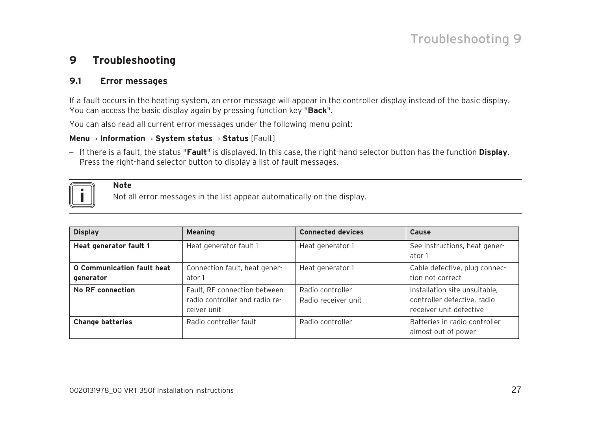## Troubleshooting 9

### **9 Troubleshooting**

### **9.1 Error messages**

**Note**

If a fault occurs in the heating system, an error message will appear in the controller display instead of the basic display. You can access the basic display again by pressing function key "**Back**".

You can also read all current error messages under the following menu point:

### **Menu** → **Information** → **System status** → **Status** [Fault]

– If there is a fault, the status "**Fault**" is displayed. In this case, the right-hand selector button has the function **Display**. Press the right-hand selector button to display a list of fault messages.



Not all error messages in the list appear automatically on the display.

| <b>Display</b>                          | <b>Meaning</b>                                                                | <b>Connected devices</b>                | Cause                                                                                   |
|-----------------------------------------|-------------------------------------------------------------------------------|-----------------------------------------|-----------------------------------------------------------------------------------------|
| Heat generator fault 1                  | Heat generator fault 1                                                        | Heat generator 1                        | See instructions, heat gener-<br>ator 1                                                 |
| O Communication fault heat<br>generator | Connection fault, heat gener-<br>ator 1                                       | Heat generator 1                        | Cable defective, plug connec-<br>tion not correct                                       |
| No RF connection                        | Fault, RF connection between<br>radio controller and radio re-<br>ceiver unit | Radio controller<br>Radio receiver unit | Installation site unsuitable,<br>controller defective, radio<br>receiver unit defective |
| <b>Change batteries</b>                 | Radio controller fault                                                        | Radio controller                        | Batteries in radio controller<br>almost out of power                                    |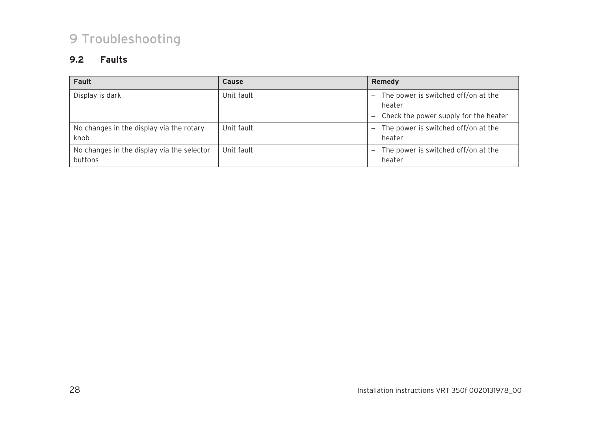## 9 Troubleshooting

### **9.2 Faults**

| Fault                                                 | <b>Cause</b> | Remedy                                                                                                                                         |
|-------------------------------------------------------|--------------|------------------------------------------------------------------------------------------------------------------------------------------------|
| Display is dark                                       | Unit fault   | The power is switched off/on at the<br>$\overline{\phantom{0}}$<br>heater<br>Check the power supply for the heater<br>$\overline{\phantom{0}}$ |
| No changes in the display via the rotary<br>knob      | Unit fault   | The power is switched off/on at the<br>—<br>heater                                                                                             |
| No changes in the display via the selector<br>buttons | Unit fault   | The power is switched off/on at the<br>heater                                                                                                  |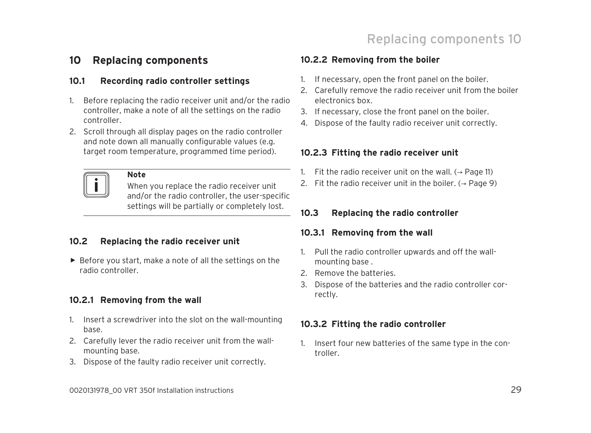## **10 Replacing components**

### **10.1 Recording radio controller settings**

- 1. Before replacing the radio receiver unit and/or the radio controller, make a note of all the settings on the radio controller.
- 2. Scroll through all display pages on the radio controller and note down all manually configurable values (e.g. target room temperature, programmed time period).



### **Note**

When you replace the radio receiver unit and/or the radio controller, the user-specific settings will be partially or completely lost.

### **10.2 Replacing the radio receiver unit**

▶ Before you start, make a note of all the settings on the radio controller.

### **10.2.1 Removing from the wall**

- 1. Insert a screwdriver into the slot on the wall-mounting base.
- 2. Carefully lever the radio receiver unit from the wallmounting base.
- 3. Dispose of the faulty radio receiver unit correctly.

### **10.2.2 Removing from the boiler**

- 1. If necessary, open the front panel on the boiler.
- 2. Carefully remove the radio receiver unit from the boiler electronics box.
- 3. If necessary, close the front panel on the boiler.
- 4. Dispose of the faulty radio receiver unit correctly.

### **10.2.3 Fitting the radio receiver unit**

- 1. Fit the radio receiver unit on the wall.  $(\rightarrow$  Page 11)
- 2. Fit the radio receiver unit in the boiler.  $( \rightarrow$  Page 9)

### **10.3 Replacing the radio controller**

### **10.3.1 Removing from the wall**

- 1. Pull the radio controller upwards and off the wallmounting base .
- 2. Remove the batteries.
- 3. Dispose of the batteries and the radio controller correctly.

### **10.3.2 Fitting the radio controller**

1. Insert four new batteries of the same type in the controller.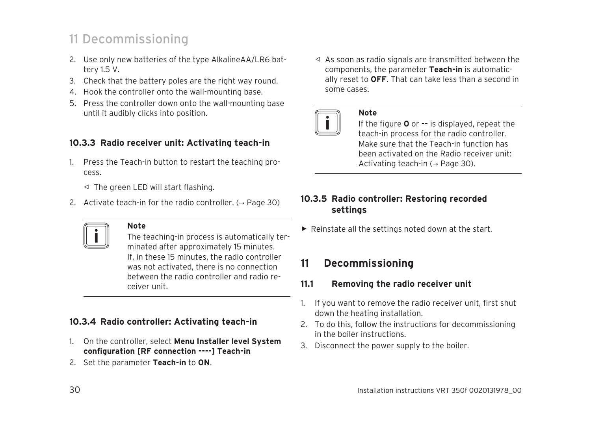## 11 Decommissioning

- 2. Use only new batteries of the type AlkalineAA/LR6 battery 1.5 V.
- 3. Check that the battery poles are the right way round.
- 4. Hook the controller onto the wall-mounting base.
- 5. Press the controller down onto the wall-mounting base until it audibly clicks into position.

### **10.3.3 Radio receiver unit: Activating teach-in**

- 1. Press the Teach-in button to restart the teaching process.
	- ◁ The green LED will start flashing.
- 2. Activate teach-in for the radio controller.  $(\rightarrow$  Page 30)



### **Note**

The teaching-in process is automatically terminated after approximately 15 minutes. If, in these 15 minutes, the radio controller was not activated, there is no connection between the radio controller and radio receiver unit.

### **10.3.4 Radio controller: Activating teach-in**

- 1. On the controller, select **Menu Installer level System configuration [RF connection ----] Teach-in**
- 2. Set the parameter **Teach-in** to **ON**.

◁ As soon as radio signals are transmitted between the components, the parameter **Teach-in** is automatically reset to **OFF**. That can take less than a second in some cases.



### **Note**

If the figure **0** or **--** is displayed, repeat the teach-in process for the radio controller. Make sure that the Teach-in function has been activated on the Radio receiver unit: Activating teach-in  $(\rightarrow$  Page 30).

### **10.3.5 Radio controller: Restoring recorded settings**

 $\blacktriangleright$  Reinstate all the settings noted down at the start.

## **11 Decommissioning**

### **11.1 Removing the radio receiver unit**

- 1. If you want to remove the radio receiver unit, first shut down the heating installation.
- 2. To do this, follow the instructions for decommissioning in the boiler instructions.
- 3. Disconnect the power supply to the boiler.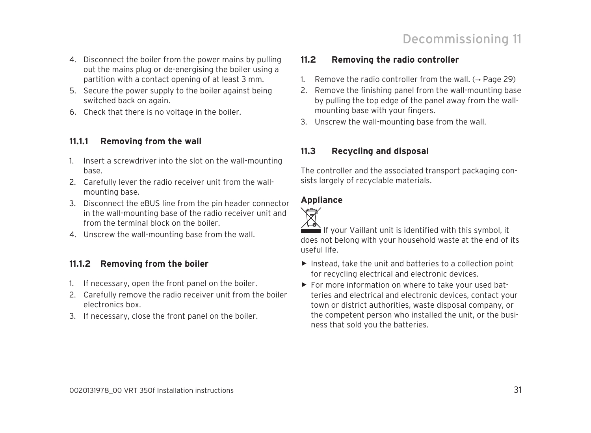- 4. Disconnect the boiler from the power mains by pulling out the mains plug or de-energising the boiler using a partition with a contact opening of at least 3 mm.
- 5. Secure the power supply to the boiler against being switched back on again.
- 6. Check that there is no voltage in the boiler.

### **11.1.1 Removing from the wall**

- 1. Insert a screwdriver into the slot on the wall-mounting base.
- 2. Carefully lever the radio receiver unit from the wallmounting base.
- 3. Disconnect the eBUS line from the pin header connector in the wall-mounting base of the radio receiver unit and from the terminal block on the boiler.
- 4. Unscrew the wall-mounting base from the wall.

### **11.1.2 Removing from the boiler**

- 1. If necessary, open the front panel on the boiler.
- 2. Carefully remove the radio receiver unit from the boiler electronics box.
- 3. If necessary, close the front panel on the boiler.

### **11.2 Removing the radio controller**

- 1. Remove the radio controller from the wall.  $($   $\rightarrow$  Page 29)
- 2. Remove the finishing panel from the wall-mounting base by pulling the top edge of the panel away from the wallmounting base with your fingers.
- 3. Unscrew the wall-mounting base from the wall.

### **11.3 Recycling and disposal**

The controller and the associated transport packaging consists largely of recyclable materials.

### **Appliance**



 $\hat{}$  If your Vaillant unit is identified with this symbol, it does not belong with your household waste at the end of its useful life.

- ▶ Instead, take the unit and batteries to a collection point for recycling electrical and electronic devices.
- $\triangleright$  For more information on where to take your used batteries and electrical and electronic devices, contact your town or district authorities, waste disposal company, or the competent person who installed the unit, or the business that sold you the batteries.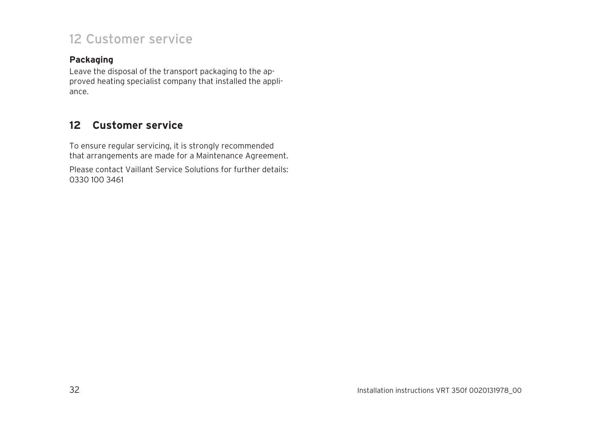## 12 Customer service

### **Packaging**

Leave the disposal of the transport packaging to the approved heating specialist company that installed the appliance.

## **12 Customer service**

To ensure regular servicing, it is strongly recommended that arrangements are made for a Maintenance Agreement.

Please contact Vaillant Service Solutions for further details: 0330 100 3461